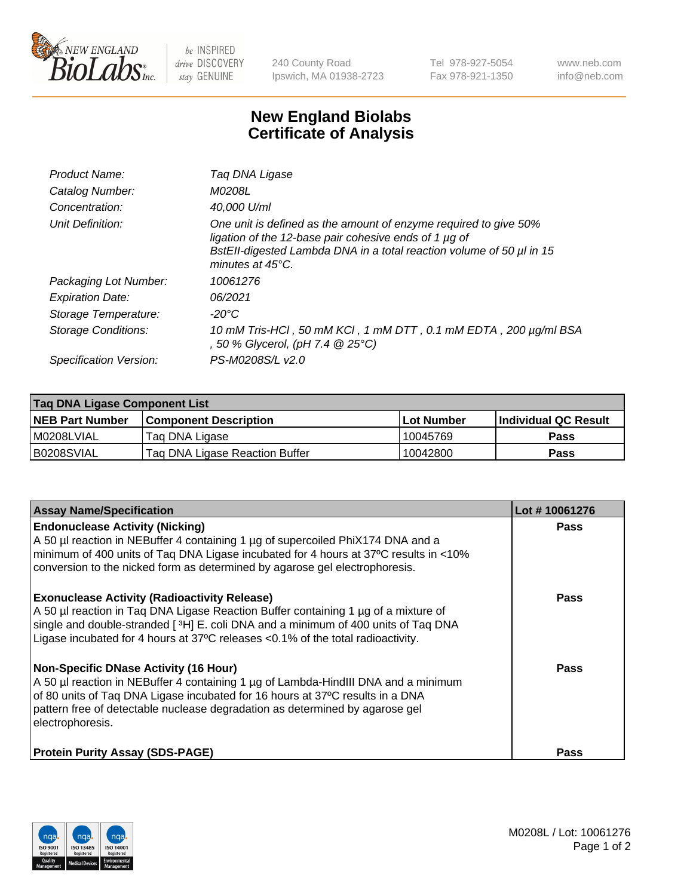

 $be$  INSPIRED drive DISCOVERY stay GENUINE

240 County Road Ipswich, MA 01938-2723 Tel 978-927-5054 Fax 978-921-1350 www.neb.com info@neb.com

## **New England Biolabs Certificate of Analysis**

| Product Name:              | Taq DNA Ligase                                                                                                                                                                                                                  |
|----------------------------|---------------------------------------------------------------------------------------------------------------------------------------------------------------------------------------------------------------------------------|
| Catalog Number:            | M0208L                                                                                                                                                                                                                          |
| Concentration:             | 40,000 U/ml                                                                                                                                                                                                                     |
| Unit Definition:           | One unit is defined as the amount of enzyme required to give 50%<br>ligation of the 12-base pair cohesive ends of 1 µg of<br>BstEll-digested Lambda DNA in a total reaction volume of 50 µl in 15<br>minutes at $45^{\circ}$ C. |
| Packaging Lot Number:      | 10061276                                                                                                                                                                                                                        |
| <b>Expiration Date:</b>    | 06/2021                                                                                                                                                                                                                         |
| Storage Temperature:       | -20°C                                                                                                                                                                                                                           |
| <b>Storage Conditions:</b> | 10 mM Tris-HCl, 50 mM KCl, 1 mM DTT, 0.1 mM EDTA, 200 µg/ml BSA<br>, 50 % Glycerol, (pH 7.4 @ 25°C)                                                                                                                             |
| Specification Version:     | PS-M0208S/L v2.0                                                                                                                                                                                                                |

| Taq DNA Ligase Component List |                                |            |                      |  |
|-------------------------------|--------------------------------|------------|----------------------|--|
| <b>NEB Part Number</b>        | <b>Component Description</b>   | Lot Number | Individual QC Result |  |
| I M0208LVIAL                  | Tag DNA Ligase                 | 10045769   | <b>Pass</b>          |  |
| B0208SVIAL                    | Taq DNA Ligase Reaction Buffer | 10042800   | Pass                 |  |

| <b>Assay Name/Specification</b>                                                                                                                                                                                                                                                                                         | Lot #10061276 |
|-------------------------------------------------------------------------------------------------------------------------------------------------------------------------------------------------------------------------------------------------------------------------------------------------------------------------|---------------|
| <b>Endonuclease Activity (Nicking)</b><br>A 50 µl reaction in NEBuffer 4 containing 1 µg of supercoiled PhiX174 DNA and a<br>minimum of 400 units of Taq DNA Ligase incubated for 4 hours at 37°C results in <10%<br>conversion to the nicked form as determined by agarose gel electrophoresis.                        | <b>Pass</b>   |
| <b>Exonuclease Activity (Radioactivity Release)</b><br>A 50 µl reaction in Taq DNA Ligase Reaction Buffer containing 1 µg of a mixture of<br>single and double-stranded [3H] E. coli DNA and a minimum of 400 units of Taq DNA<br>Ligase incubated for 4 hours at 37°C releases <0.1% of the total radioactivity.       | <b>Pass</b>   |
| <b>Non-Specific DNase Activity (16 Hour)</b><br>A 50 µl reaction in NEBuffer 4 containing 1 µg of Lambda-HindIII DNA and a minimum<br>of 80 units of Taq DNA Ligase incubated for 16 hours at 37°C results in a DNA<br>pattern free of detectable nuclease degradation as determined by agarose gel<br>electrophoresis. | <b>Pass</b>   |
| <b>Protein Purity Assay (SDS-PAGE)</b>                                                                                                                                                                                                                                                                                  | <b>Pass</b>   |